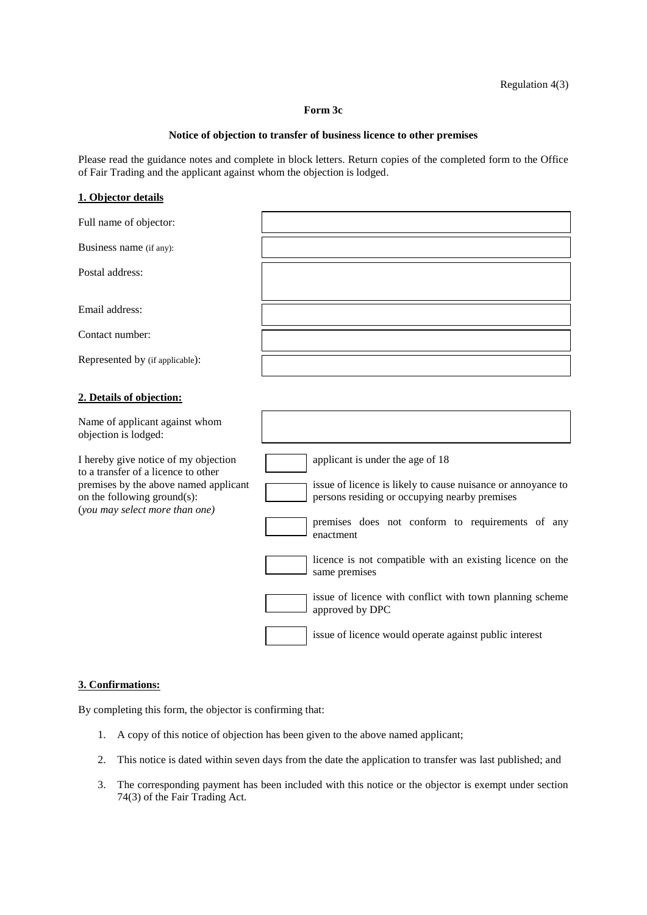Regulation 4(3)

#### **Form 3c**

#### **Notice of objection to transfer of business licence to other premises**

Please read the guidance notes and complete in block letters. Return copies of the completed form to the Office of Fair Trading and the applicant against whom the objection is lodged.

### **1. Objector details**

| Full name of objector:                                                                                                                                                                |                                                                                                                                                                                                                                                                                                                                                                                 |
|---------------------------------------------------------------------------------------------------------------------------------------------------------------------------------------|---------------------------------------------------------------------------------------------------------------------------------------------------------------------------------------------------------------------------------------------------------------------------------------------------------------------------------------------------------------------------------|
| Business name (if any):                                                                                                                                                               |                                                                                                                                                                                                                                                                                                                                                                                 |
| Postal address:                                                                                                                                                                       |                                                                                                                                                                                                                                                                                                                                                                                 |
| Email address:                                                                                                                                                                        |                                                                                                                                                                                                                                                                                                                                                                                 |
| Contact number:                                                                                                                                                                       |                                                                                                                                                                                                                                                                                                                                                                                 |
| Represented by (if applicable):                                                                                                                                                       |                                                                                                                                                                                                                                                                                                                                                                                 |
| 2. Details of objection:                                                                                                                                                              |                                                                                                                                                                                                                                                                                                                                                                                 |
| Name of applicant against whom<br>objection is lodged:                                                                                                                                |                                                                                                                                                                                                                                                                                                                                                                                 |
| I hereby give notice of my objection<br>to a transfer of a licence to other<br>premises by the above named applicant<br>on the following ground(s):<br>(you may select more than one) | applicant is under the age of 18<br>issue of licence is likely to cause nuisance or annoyance to<br>persons residing or occupying nearby premises<br>premises does not conform to requirements of any<br>enactment<br>licence is not compatible with an existing licence on the<br>same premises<br>issue of licence with conflict with town planning scheme<br>approved by DPC |
|                                                                                                                                                                                       | issue of licence would operate against public interest                                                                                                                                                                                                                                                                                                                          |

## **3. Confirmations:**

By completing this form, the objector is confirming that:

- 1. A copy of this notice of objection has been given to the above named applicant;
- 2. This notice is dated within seven days from the date the application to transfer was last published; and
- 3. The corresponding payment has been included with this notice or the objector is exempt under section 74(3) of the Fair Trading Act.